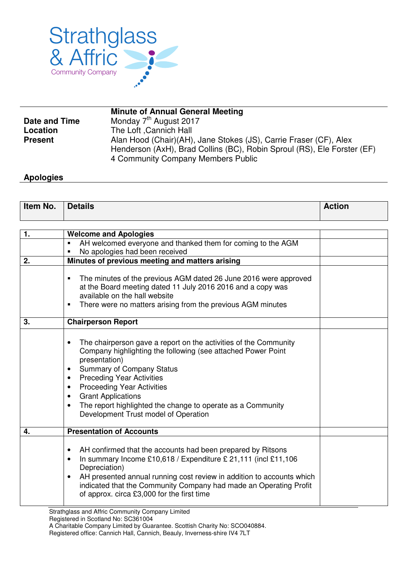

|                      | <b>Minute of Annual General Meeting</b>                                 |
|----------------------|-------------------------------------------------------------------------|
| <b>Date and Time</b> | Monday 7 <sup>th</sup> August 2017                                      |
| Location             | The Loft Cannich Hall                                                   |
| <b>Present</b>       | Alan Hood (Chair)(AH), Jane Stokes (JS), Carrie Fraser (CF), Alex       |
|                      | Henderson (AxH), Brad Collins (BC), Robin Sproul (RS), Ele Forster (EF) |
|                      | 4 Community Company Members Public                                      |

## **Apologies**

| Item No. | <b>Details</b>                                                                                                                                                                                                                                                                                                                                                                                                                                                      | <b>Action</b> |
|----------|---------------------------------------------------------------------------------------------------------------------------------------------------------------------------------------------------------------------------------------------------------------------------------------------------------------------------------------------------------------------------------------------------------------------------------------------------------------------|---------------|
|          |                                                                                                                                                                                                                                                                                                                                                                                                                                                                     |               |
| 1.       | <b>Welcome and Apologies</b>                                                                                                                                                                                                                                                                                                                                                                                                                                        |               |
|          | AH welcomed everyone and thanked them for coming to the AGM<br>٠<br>No apologies had been received<br>٠                                                                                                                                                                                                                                                                                                                                                             |               |
| 2.       | Minutes of previous meeting and matters arising                                                                                                                                                                                                                                                                                                                                                                                                                     |               |
|          | The minutes of the previous AGM dated 26 June 2016 were approved<br>П<br>at the Board meeting dated 11 July 2016 2016 and a copy was<br>available on the hall website<br>There were no matters arising from the previous AGM minutes                                                                                                                                                                                                                                |               |
| 3.       | <b>Chairperson Report</b>                                                                                                                                                                                                                                                                                                                                                                                                                                           |               |
|          | The chairperson gave a report on the activities of the Community<br>Company highlighting the following (see attached Power Point<br>presentation)<br><b>Summary of Company Status</b><br>$\bullet$<br><b>Preceding Year Activities</b><br>$\bullet$<br><b>Proceeding Year Activities</b><br>$\bullet$<br><b>Grant Applications</b><br>$\bullet$<br>The report highlighted the change to operate as a Community<br>$\bullet$<br>Development Trust model of Operation |               |
| 4.       | <b>Presentation of Accounts</b>                                                                                                                                                                                                                                                                                                                                                                                                                                     |               |
|          | AH confirmed that the accounts had been prepared by Ritsons<br>$\bullet$<br>In summary Income £10,618 / Expenditure £ 21,111 (incl £11,106<br>$\bullet$<br>Depreciation)<br>AH presented annual running cost review in addition to accounts which<br>indicated that the Community Company had made an Operating Profit<br>of approx. circa £3,000 for the first time                                                                                                |               |

Strathglass and Affric Community Company Limited

Registered office: Cannich Hall, Cannich, Beauly, Inverness-shire IV4 7LT

Registered in Scotland No: SC361004

A Charitable Company Limited by Guarantee. Scottish Charity No: SCO040884.